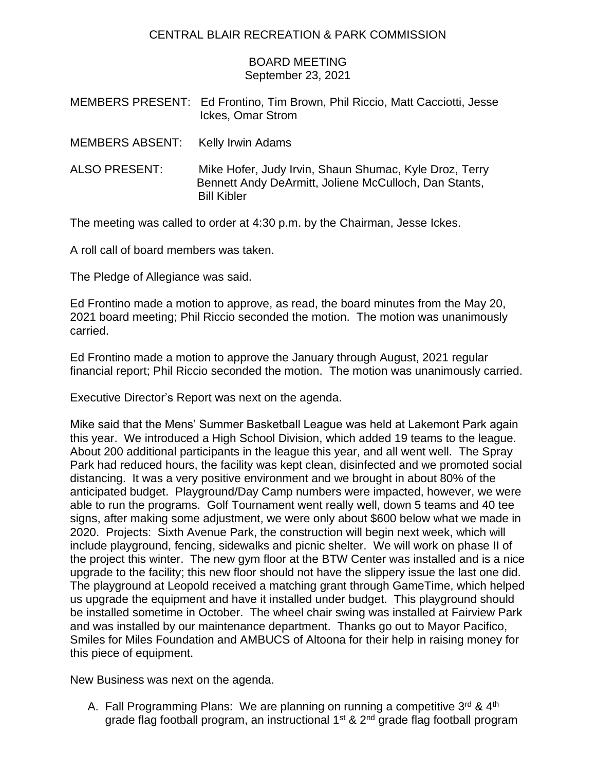## CENTRAL BLAIR RECREATION & PARK COMMISSION

## BOARD MEETING September 23, 2021

|                                   | MEMBERS PRESENT: Ed Frontino, Tim Brown, Phil Riccio, Matt Cacciotti, Jesse<br>Ickes, Omar Strom                                      |
|-----------------------------------|---------------------------------------------------------------------------------------------------------------------------------------|
| MEMBERS ABSENT: Kelly Irwin Adams |                                                                                                                                       |
| <b>ALSO PRESENT:</b>              | Mike Hofer, Judy Irvin, Shaun Shumac, Kyle Droz, Terry<br>Bennett Andy DeArmitt, Joliene McCulloch, Dan Stants,<br><b>Bill Kibler</b> |

The meeting was called to order at 4:30 p.m. by the Chairman, Jesse Ickes.

A roll call of board members was taken.

The Pledge of Allegiance was said.

Ed Frontino made a motion to approve, as read, the board minutes from the May 20, 2021 board meeting; Phil Riccio seconded the motion. The motion was unanimously carried.

Ed Frontino made a motion to approve the January through August, 2021 regular financial report; Phil Riccio seconded the motion. The motion was unanimously carried.

Executive Director's Report was next on the agenda.

Mike said that the Mens' Summer Basketball League was held at Lakemont Park again this year. We introduced a High School Division, which added 19 teams to the league. About 200 additional participants in the league this year, and all went well. The Spray Park had reduced hours, the facility was kept clean, disinfected and we promoted social distancing. It was a very positive environment and we brought in about 80% of the anticipated budget. Playground/Day Camp numbers were impacted, however, we were able to run the programs. Golf Tournament went really well, down 5 teams and 40 tee signs, after making some adjustment, we were only about \$600 below what we made in 2020. Projects: Sixth Avenue Park, the construction will begin next week, which will include playground, fencing, sidewalks and picnic shelter. We will work on phase II of the project this winter. The new gym floor at the BTW Center was installed and is a nice upgrade to the facility; this new floor should not have the slippery issue the last one did. The playground at Leopold received a matching grant through GameTime, which helped us upgrade the equipment and have it installed under budget. This playground should be installed sometime in October. The wheel chair swing was installed at Fairview Park and was installed by our maintenance department. Thanks go out to Mayor Pacifico, Smiles for Miles Foundation and AMBUCS of Altoona for their help in raising money for this piece of equipment.

New Business was next on the agenda.

A. Fall Programming Plans: We are planning on running a competitive 3rd & 4<sup>th</sup> grade flag football program, an instructional 1<sup>st</sup> & 2<sup>nd</sup> grade flag football program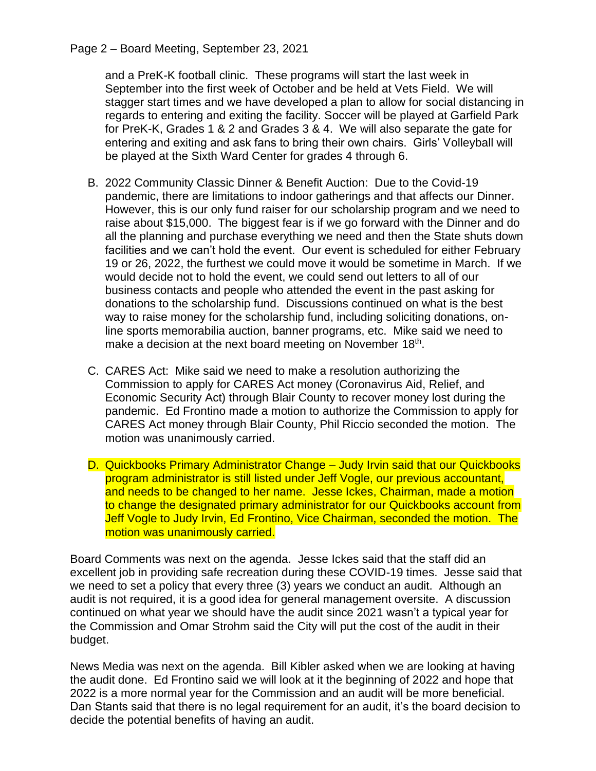## Page 2 – Board Meeting, September 23, 2021

and a PreK-K football clinic. These programs will start the last week in September into the first week of October and be held at Vets Field. We will stagger start times and we have developed a plan to allow for social distancing in regards to entering and exiting the facility. Soccer will be played at Garfield Park for PreK-K, Grades 1 & 2 and Grades 3 & 4. We will also separate the gate for entering and exiting and ask fans to bring their own chairs. Girls' Volleyball will be played at the Sixth Ward Center for grades 4 through 6.

- B. 2022 Community Classic Dinner & Benefit Auction: Due to the Covid-19 pandemic, there are limitations to indoor gatherings and that affects our Dinner. However, this is our only fund raiser for our scholarship program and we need to raise about \$15,000. The biggest fear is if we go forward with the Dinner and do all the planning and purchase everything we need and then the State shuts down facilities and we can't hold the event. Our event is scheduled for either February 19 or 26, 2022, the furthest we could move it would be sometime in March. If we would decide not to hold the event, we could send out letters to all of our business contacts and people who attended the event in the past asking for donations to the scholarship fund. Discussions continued on what is the best way to raise money for the scholarship fund, including soliciting donations, online sports memorabilia auction, banner programs, etc. Mike said we need to make a decision at the next board meeting on November 18<sup>th</sup>.
- C. CARES Act: Mike said we need to make a resolution authorizing the Commission to apply for CARES Act money (Coronavirus Aid, Relief, and Economic Security Act) through Blair County to recover money lost during the pandemic. Ed Frontino made a motion to authorize the Commission to apply for CARES Act money through Blair County, Phil Riccio seconded the motion. The motion was unanimously carried.
- D. Quickbooks Primary Administrator Change Judy Irvin said that our Quickbooks program administrator is still listed under Jeff Vogle, our previous accountant, and needs to be changed to her name. Jesse Ickes, Chairman, made a motion to change the designated primary administrator for our Quickbooks account from Jeff Vogle to Judy Irvin, Ed Frontino, Vice Chairman, seconded the motion. The motion was unanimously carried.

Board Comments was next on the agenda. Jesse Ickes said that the staff did an excellent job in providing safe recreation during these COVID-19 times. Jesse said that we need to set a policy that every three (3) years we conduct an audit. Although an audit is not required, it is a good idea for general management oversite. A discussion continued on what year we should have the audit since 2021 wasn't a typical year for the Commission and Omar Strohm said the City will put the cost of the audit in their budget.

News Media was next on the agenda. Bill Kibler asked when we are looking at having the audit done. Ed Frontino said we will look at it the beginning of 2022 and hope that 2022 is a more normal year for the Commission and an audit will be more beneficial. Dan Stants said that there is no legal requirement for an audit, it's the board decision to decide the potential benefits of having an audit.